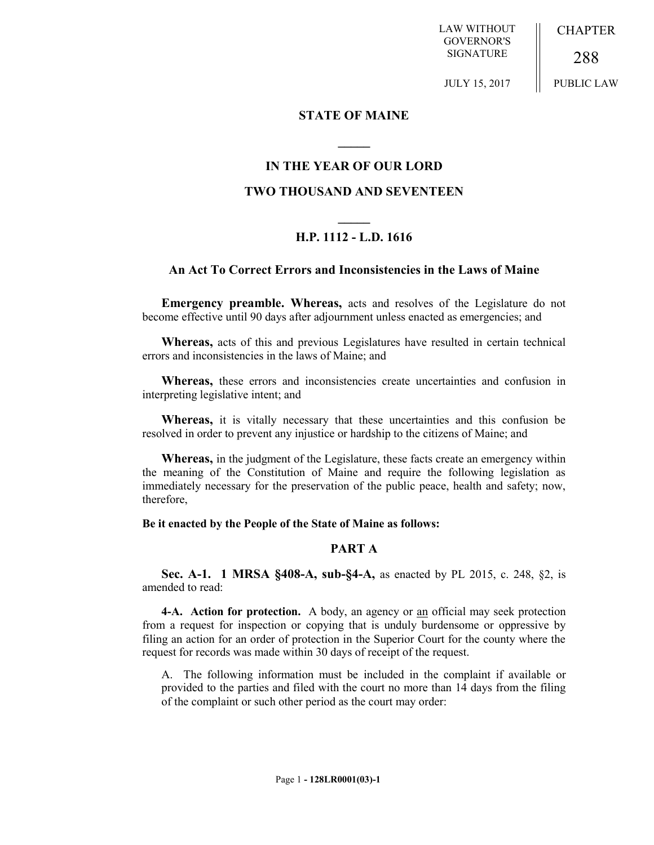LAW WITHOUT GOVERNOR'S SIGNATURE

**CHAPTER** 

288 PUBLIC LAW

JULY 15, 2017

## **STATE OF MAINE**

## **IN THE YEAR OF OUR LORD**

**\_\_\_\_\_**

## **TWO THOUSAND AND SEVENTEEN**

# **\_\_\_\_\_ H.P. 1112 - L.D. 1616**

## **An Act To Correct Errors and Inconsistencies in the Laws of Maine**

**Emergency preamble. Whereas,** acts and resolves of the Legislature do not become effective until 90 days after adjournment unless enacted as emergencies; and

**Whereas,** acts of this and previous Legislatures have resulted in certain technical errors and inconsistencies in the laws of Maine; and

**Whereas,** these errors and inconsistencies create uncertainties and confusion in interpreting legislative intent; and

**Whereas,** it is vitally necessary that these uncertainties and this confusion be resolved in order to prevent any injustice or hardship to the citizens of Maine; and

**Whereas,** in the judgment of the Legislature, these facts create an emergency within the meaning of the Constitution of Maine and require the following legislation as immediately necessary for the preservation of the public peace, health and safety; now, therefore,

**Be it enacted by the People of the State of Maine as follows:**

## **PART A**

**Sec. A-1. 1 MRSA §408-A, sub-§4-A,** as enacted by PL 2015, c. 248, §2, is amended to read:

**4-A. Action for protection.** A body, an agency or an official may seek protection from a request for inspection or copying that is unduly burdensome or oppressive by filing an action for an order of protection in the Superior Court for the county where the request for records was made within 30 days of receipt of the request.

A. The following information must be included in the complaint if available or provided to the parties and filed with the court no more than 14 days from the filing of the complaint or such other period as the court may order: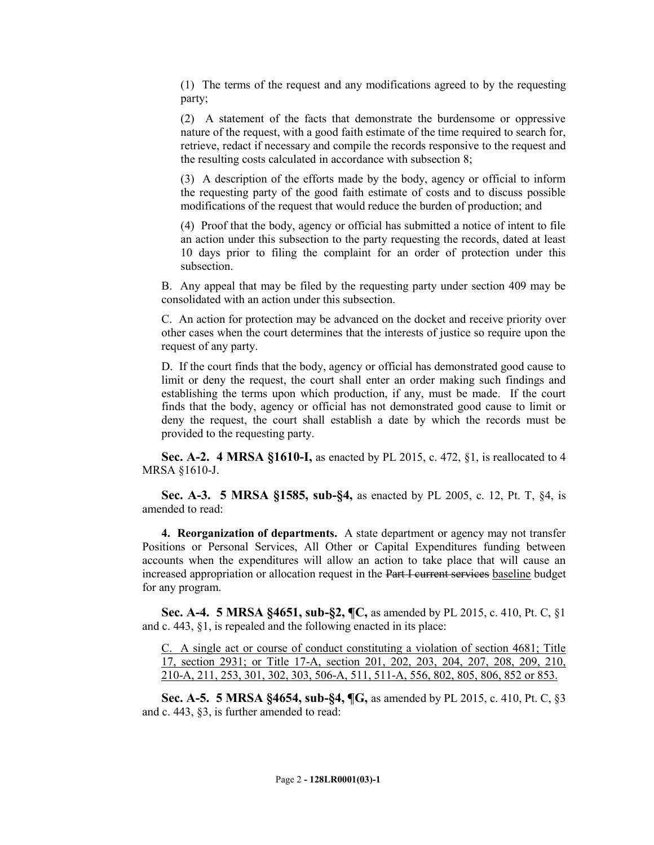(1) The terms of the request and any modifications agreed to by the requesting party;

(2) A statement of the facts that demonstrate the burdensome or oppressive nature of the request, with a good faith estimate of the time required to search for, retrieve, redact if necessary and compile the records responsive to the request and the resulting costs calculated in accordance with subsection 8;

(3) A description of the efforts made by the body, agency or official to inform the requesting party of the good faith estimate of costs and to discuss possible modifications of the request that would reduce the burden of production; and

(4) Proof that the body, agency or official has submitted a notice of intent to file an action under this subsection to the party requesting the records, dated at least 10 days prior to filing the complaint for an order of protection under this subsection.

B. Any appeal that may be filed by the requesting party under section 409 may be consolidated with an action under this subsection.

C. An action for protection may be advanced on the docket and receive priority over other cases when the court determines that the interests of justice so require upon the request of any party.

D. If the court finds that the body, agency or official has demonstrated good cause to limit or deny the request, the court shall enter an order making such findings and establishing the terms upon which production, if any, must be made. If the court finds that the body, agency or official has not demonstrated good cause to limit or deny the request, the court shall establish a date by which the records must be provided to the requesting party.

**Sec. A-2. 4 MRSA §1610-I,** as enacted by PL 2015, c. 472, §1, is reallocated to 4 MRSA §1610-J.

**Sec. A-3. 5 MRSA §1585, sub-§4,** as enacted by PL 2005, c. 12, Pt. T, §4, is amended to read:

**4. Reorganization of departments.** A state department or agency may not transfer Positions or Personal Services, All Other or Capital Expenditures funding between accounts when the expenditures will allow an action to take place that will cause an increased appropriation or allocation request in the Part I current services baseline budget for any program.

**Sec. A-4. 5 MRSA §4651, sub-§2, ¶C,** as amended by PL 2015, c. 410, Pt. C, §1 and c. 443, §1, is repealed and the following enacted in its place:

C. A single act or course of conduct constituting a violation of section 4681; Title 17, section 2931; or Title 17-A, section 201, 202, 203, 204, 207, 208, 209, 210, 210-A, 211, 253, 301, 302, 303, 506-A, 511, 511-A, 556, 802, 805, 806, 852 or 853.

**Sec. A-5. 5 MRSA §4654, sub-§4, ¶G,** as amended by PL 2015, c. 410, Pt. C, §3 and c. 443, §3, is further amended to read: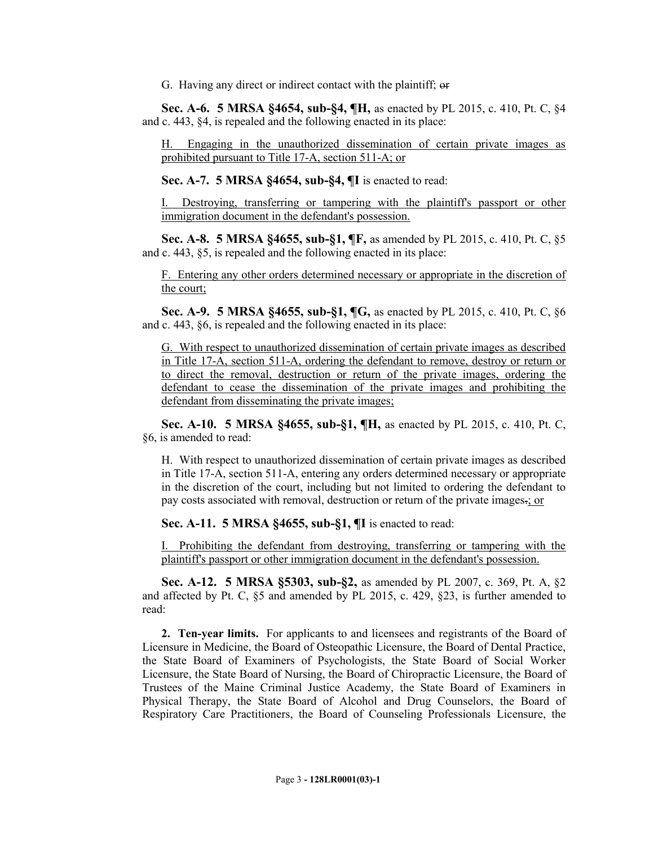G. Having any direct or indirect contact with the plaintiff; or

**Sec. A-6. 5 MRSA §4654, sub-§4, ¶H,** as enacted by PL 2015, c. 410, Pt. C, §4 and c. 443, §4, is repealed and the following enacted in its place:

H. Engaging in the unauthorized dissemination of certain private images as prohibited pursuant to Title 17-A, section 511-A; or

**Sec. A-7. 5 MRSA §4654, sub-§4, ¶I** is enacted to read:

I. Destroying, transferring or tampering with the plaintiff's passport or other immigration document in the defendant's possession.

**Sec. A-8. 5 MRSA §4655, sub-§1, ¶F,** as amended by PL 2015, c. 410, Pt. C, §5 and c. 443, §5, is repealed and the following enacted in its place:

F. Entering any other orders determined necessary or appropriate in the discretion of the court;

**Sec. A-9. 5 MRSA §4655, sub-§1, ¶G,** as enacted by PL 2015, c. 410, Pt. C, §6 and c. 443, §6, is repealed and the following enacted in its place:

G. With respect to unauthorized dissemination of certain private images as described in Title 17-A, section 511-A, ordering the defendant to remove, destroy or return or to direct the removal, destruction or return of the private images, ordering the defendant to cease the dissemination of the private images and prohibiting the defendant from disseminating the private images;

**Sec. A-10. 5 MRSA §4655, sub-§1, ¶H,** as enacted by PL 2015, c. 410, Pt. C, §6, is amended to read:

H. With respect to unauthorized dissemination of certain private images as described in Title 17-A, section 511-A, entering any orders determined necessary or appropriate in the discretion of the court, including but not limited to ordering the defendant to pay costs associated with removal, destruction or return of the private images.; or

**Sec. A-11. 5 MRSA §4655, sub-§1, ¶I** is enacted to read:

I. Prohibiting the defendant from destroying, transferring or tampering with the plaintiff's passport or other immigration document in the defendant's possession.

**Sec. A-12. 5 MRSA §5303, sub-§2,** as amended by PL 2007, c. 369, Pt. A, §2 and affected by Pt. C, §5 and amended by PL 2015, c. 429, §23, is further amended to read:

**2. Ten-year limits.** For applicants to and licensees and registrants of the Board of Licensure in Medicine, the Board of Osteopathic Licensure, the Board of Dental Practice, the State Board of Examiners of Psychologists, the State Board of Social Worker Licensure, the State Board of Nursing, the Board of Chiropractic Licensure, the Board of Trustees of the Maine Criminal Justice Academy, the State Board of Examiners in Physical Therapy, the State Board of Alcohol and Drug Counselors, the Board of Respiratory Care Practitioners, the Board of Counseling Professionals Licensure, the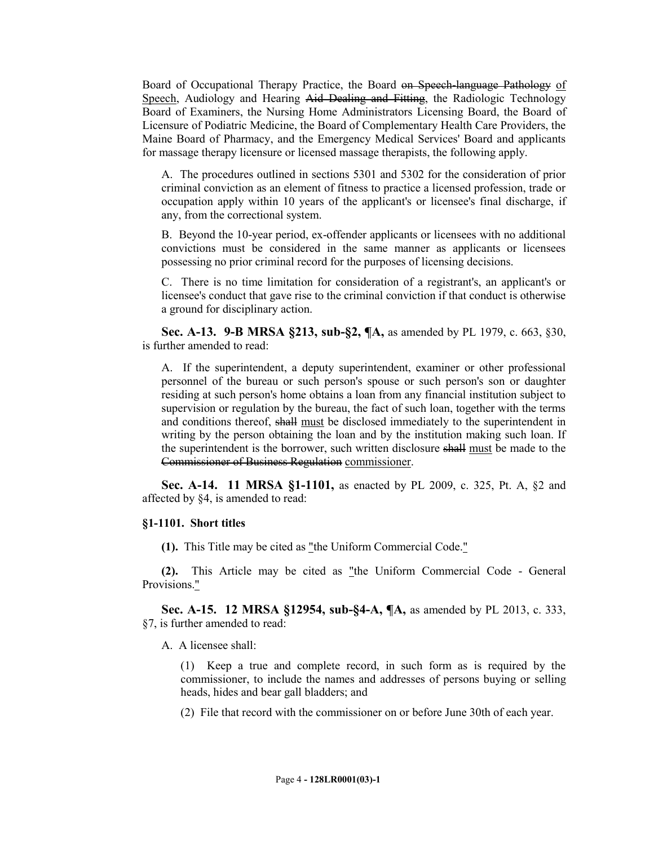Board of Occupational Therapy Practice, the Board on Speech-language Pathology of Speech, Audiology and Hearing Aid Dealing and Fitting, the Radiologic Technology Board of Examiners, the Nursing Home Administrators Licensing Board, the Board of Licensure of Podiatric Medicine, the Board of Complementary Health Care Providers, the Maine Board of Pharmacy, and the Emergency Medical Services' Board and applicants for massage therapy licensure or licensed massage therapists, the following apply.

A. The procedures outlined in sections 5301 and 5302 for the consideration of prior criminal conviction as an element of fitness to practice a licensed profession, trade or occupation apply within 10 years of the applicant's or licensee's final discharge, if any, from the correctional system.

B. Beyond the 10-year period, ex-offender applicants or licensees with no additional convictions must be considered in the same manner as applicants or licensees possessing no prior criminal record for the purposes of licensing decisions.

C. There is no time limitation for consideration of a registrant's, an applicant's or licensee's conduct that gave rise to the criminal conviction if that conduct is otherwise a ground for disciplinary action.

**Sec. A-13. 9-B MRSA §213, sub-§2, ¶A,** as amended by PL 1979, c. 663, §30, is further amended to read:

A. If the superintendent, a deputy superintendent, examiner or other professional personnel of the bureau or such person's spouse or such person's son or daughter residing at such person's home obtains a loan from any financial institution subject to supervision or regulation by the bureau, the fact of such loan, together with the terms and conditions thereof, shall must be disclosed immediately to the superintendent in writing by the person obtaining the loan and by the institution making such loan. If the superintendent is the borrower, such written disclosure shall must be made to the Commissioner of Business Regulation commissioner.

**Sec. A-14. 11 MRSA §1-1101,** as enacted by PL 2009, c. 325, Pt. A, §2 and affected by §4, is amended to read:

#### **§1-1101. Short titles**

**(1).** This Title may be cited as "the Uniform Commercial Code."

**(2).** This Article may be cited as "the Uniform Commercial Code - General Provisions."

**Sec. A-15. 12 MRSA §12954, sub-§4-A, ¶A,** as amended by PL 2013, c. 333, §7, is further amended to read:

A. A licensee shall:

(1) Keep a true and complete record, in such form as is required by the commissioner, to include the names and addresses of persons buying or selling heads, hides and bear gall bladders; and

(2) File that record with the commissioner on or before June 30th of each year.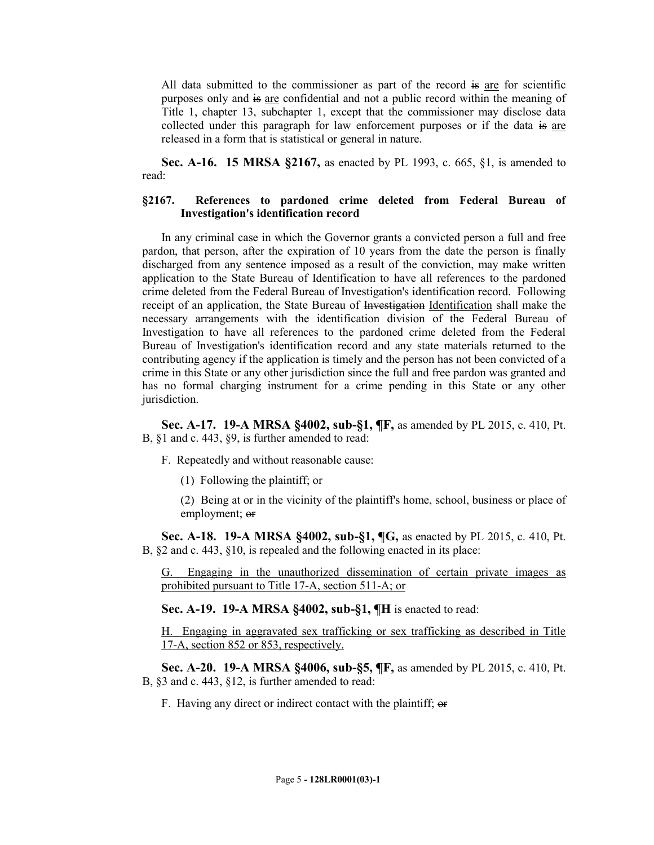All data submitted to the commissioner as part of the record is are for scientific purposes only and is are confidential and not a public record within the meaning of Title 1, chapter 13, subchapter 1, except that the commissioner may disclose data collected under this paragraph for law enforcement purposes or if the data is are released in a form that is statistical or general in nature.

**Sec. A-16. 15 MRSA §2167, as enacted by PL 1993, c. 665, §1, is amended to** read:

## **§2167. References to pardoned crime deleted from Federal Bureau of Investigation's identification record**

In any criminal case in which the Governor grants a convicted person a full and free pardon, that person, after the expiration of 10 years from the date the person is finally discharged from any sentence imposed as a result of the conviction, may make written application to the State Bureau of Identification to have all references to the pardoned crime deleted from the Federal Bureau of Investigation's identification record. Following receipt of an application, the State Bureau of Investigation Identification shall make the necessary arrangements with the identification division of the Federal Bureau of Investigation to have all references to the pardoned crime deleted from the Federal Bureau of Investigation's identification record and any state materials returned to the contributing agency if the application is timely and the person has not been convicted of a crime in this State or any other jurisdiction since the full and free pardon was granted and has no formal charging instrument for a crime pending in this State or any other jurisdiction.

**Sec. A-17. 19-A MRSA §4002, sub-§1, ¶F,** as amended by PL 2015, c. 410, Pt. B, §1 and c. 443, §9, is further amended to read:

- F. Repeatedly and without reasonable cause:
	- (1) Following the plaintiff; or
	- (2) Being at or in the vicinity of the plaintiff's home, school, business or place of employment; or

**Sec. A-18. 19-A MRSA §4002, sub-§1, ¶G,** as enacted by PL 2015, c. 410, Pt. B, §2 and c. 443, §10, is repealed and the following enacted in its place:

G. Engaging in the unauthorized dissemination of certain private images as prohibited pursuant to Title 17-A, section 511-A; or

**Sec. A-19. 19-A MRSA §4002, sub-§1, ¶H** is enacted to read:

H. Engaging in aggravated sex trafficking or sex trafficking as described in Title 17-A, section 852 or 853, respectively.

**Sec. A-20. 19-A MRSA §4006, sub-§5, ¶F,** as amended by PL 2015, c. 410, Pt. B, §3 and c. 443, §12, is further amended to read:

F. Having any direct or indirect contact with the plaintiff; or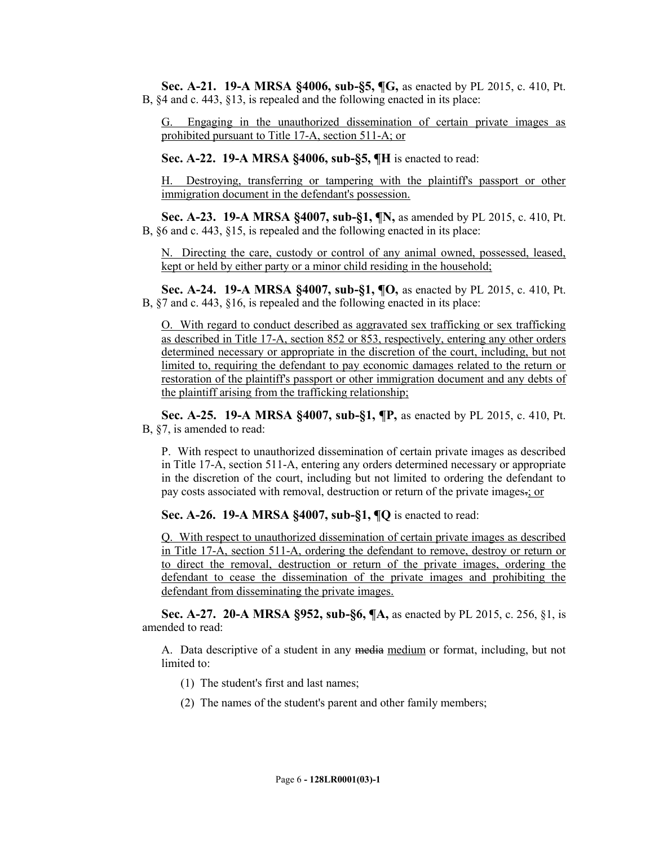**Sec. A-21. 19-A MRSA §4006, sub-§5, ¶G,** as enacted by PL 2015, c. 410, Pt. B, §4 and c. 443, §13, is repealed and the following enacted in its place:

G. Engaging in the unauthorized dissemination of certain private images as prohibited pursuant to Title 17-A, section 511-A; or

**Sec. A-22. 19-A MRSA §4006, sub-§5, ¶H** is enacted to read:

H. Destroying, transferring or tampering with the plaintiff's passport or other immigration document in the defendant's possession.

**Sec. A-23. 19-A MRSA §4007, sub-§1, ¶N,** as amended by PL 2015, c. 410, Pt. B, §6 and c. 443, §15, is repealed and the following enacted in its place:

N. Directing the care, custody or control of any animal owned, possessed, leased, kept or held by either party or a minor child residing in the household;

**Sec. A-24. 19-A MRSA §4007, sub-§1, ¶O,** as enacted by PL 2015, c. 410, Pt. B, §7 and c. 443, §16, is repealed and the following enacted in its place:

O. With regard to conduct described as aggravated sex trafficking or sex trafficking as described in Title 17-A, section 852 or 853, respectively, entering any other orders determined necessary or appropriate in the discretion of the court, including, but not limited to, requiring the defendant to pay economic damages related to the return or restoration of the plaintiff's passport or other immigration document and any debts of the plaintiff arising from the trafficking relationship;

**Sec. A-25. 19-A MRSA §4007, sub-§1, ¶P,** as enacted by PL 2015, c. 410, Pt. B, §7, is amended to read:

P. With respect to unauthorized dissemination of certain private images as described in Title 17-A, section 511-A, entering any orders determined necessary or appropriate in the discretion of the court, including but not limited to ordering the defendant to pay costs associated with removal, destruction or return of the private images.; or

**Sec. A-26. 19-A MRSA §4007, sub-§1, ¶Q** is enacted to read:

Q. With respect to unauthorized dissemination of certain private images as described in Title 17-A, section 511-A, ordering the defendant to remove, destroy or return or to direct the removal, destruction or return of the private images, ordering the defendant to cease the dissemination of the private images and prohibiting the defendant from disseminating the private images.

**Sec. A-27. 20-A MRSA §952, sub-§6, ¶A,** as enacted by PL 2015, c. 256, §1, is amended to read:

A. Data descriptive of a student in any media medium or format, including, but not limited to:

- (1) The student's first and last names;
- (2) The names of the student's parent and other family members;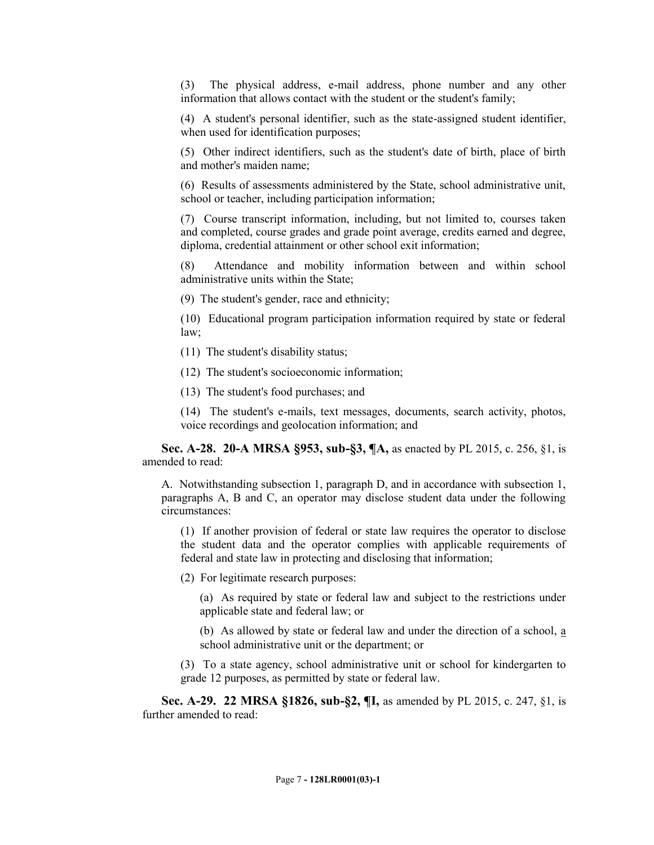(3) The physical address, e-mail address, phone number and any other information that allows contact with the student or the student's family;

(4) A student's personal identifier, such as the state-assigned student identifier, when used for identification purposes;

(5) Other indirect identifiers, such as the student's date of birth, place of birth and mother's maiden name;

(6) Results of assessments administered by the State, school administrative unit, school or teacher, including participation information;

(7) Course transcript information, including, but not limited to, courses taken and completed, course grades and grade point average, credits earned and degree, diploma, credential attainment or other school exit information;

(8) Attendance and mobility information between and within school administrative units within the State;

(9) The student's gender, race and ethnicity;

(10) Educational program participation information required by state or federal law;

- (11) The student's disability status;
- (12) The student's socioeconomic information;
- (13) The student's food purchases; and

(14) The student's e-mails, text messages, documents, search activity, photos, voice recordings and geolocation information; and

**Sec. A-28. 20-A MRSA §953, sub-§3, ¶A,** as enacted by PL 2015, c. 256, §1, is amended to read:

A. Notwithstanding subsection 1, paragraph D, and in accordance with subsection 1, paragraphs A, B and C, an operator may disclose student data under the following circumstances:

(1) If another provision of federal or state law requires the operator to disclose the student data and the operator complies with applicable requirements of federal and state law in protecting and disclosing that information;

(2) For legitimate research purposes:

(a) As required by state or federal law and subject to the restrictions under applicable state and federal law; or

(b) As allowed by state or federal law and under the direction of a school, a school administrative unit or the department; or

(3) To a state agency, school administrative unit or school for kindergarten to grade 12 purposes, as permitted by state or federal law.

**Sec. A-29. 22 MRSA §1826, sub-§2, ¶I,** as amended by PL 2015, c. 247, §1, is further amended to read: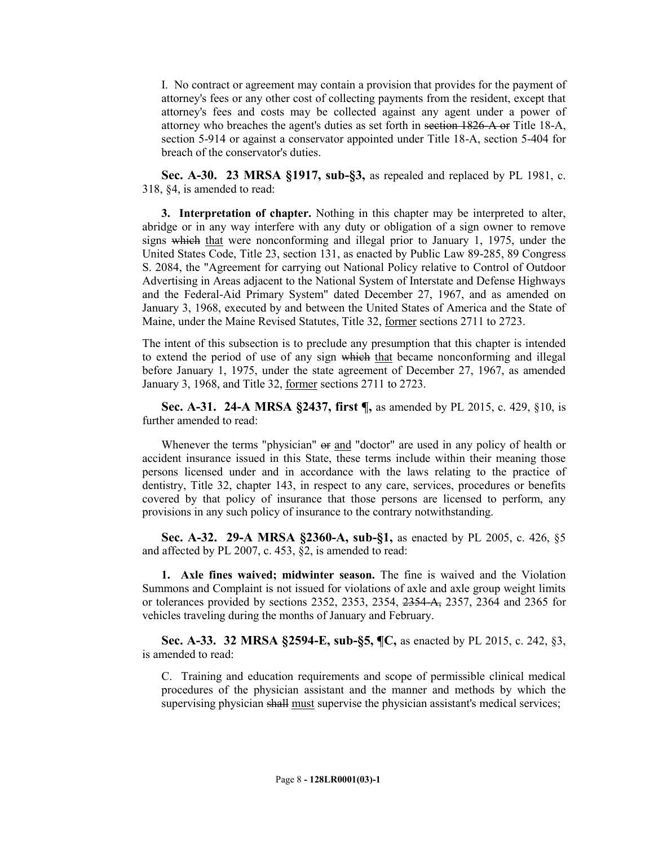I. No contract or agreement may contain a provision that provides for the payment of attorney's fees or any other cost of collecting payments from the resident, except that attorney's fees and costs may be collected against any agent under a power of attorney who breaches the agent's duties as set forth in section 1826-A or Title 18-A, section 5-914 or against a conservator appointed under Title 18-A, section 5-404 for breach of the conservator's duties.

**Sec. A-30. 23 MRSA §1917, sub-§3,** as repealed and replaced by PL 1981, c. 318, §4, is amended to read:

**3. Interpretation of chapter.** Nothing in this chapter may be interpreted to alter, abridge or in any way interfere with any duty or obligation of a sign owner to remove signs which that were nonconforming and illegal prior to January 1, 1975, under the United States Code, Title 23, section 131, as enacted by Public Law 89-285, 89 Congress S. 2084, the "Agreement for carrying out National Policy relative to Control of Outdoor Advertising in Areas adjacent to the National System of Interstate and Defense Highways and the Federal-Aid Primary System" dated December 27, 1967, and as amended on January 3, 1968, executed by and between the United States of America and the State of Maine, under the Maine Revised Statutes, Title 32, former sections 2711 to 2723.

The intent of this subsection is to preclude any presumption that this chapter is intended to extend the period of use of any sign which that became nonconforming and illegal before January 1, 1975, under the state agreement of December 27, 1967, as amended January 3, 1968, and Title 32, former sections 2711 to 2723.

**Sec. A-31. 24-A MRSA §2437, first ¶,** as amended by PL 2015, c. 429, §10, is further amended to read:

Whenever the terms "physician"  $\Theta$  and "doctor" are used in any policy of health or accident insurance issued in this State, these terms include within their meaning those persons licensed under and in accordance with the laws relating to the practice of dentistry, Title 32, chapter 143, in respect to any care, services, procedures or benefits covered by that policy of insurance that those persons are licensed to perform, any provisions in any such policy of insurance to the contrary notwithstanding.

**Sec. A-32. 29-A MRSA §2360-A, sub-§1,** as enacted by PL 2005, c. 426, §5 and affected by PL 2007, c. 453, §2, is amended to read:

**1. Axle fines waived; midwinter season.** The fine is waived and the Violation Summons and Complaint is not issued for violations of axle and axle group weight limits or tolerances provided by sections 2352, 2353, 2354, 2354-A, 2357, 2364 and 2365 for vehicles traveling during the months of January and February.

**Sec. A-33. 32 MRSA §2594-E, sub-§5, ¶C,** as enacted by PL 2015, c. 242, §3, is amended to read:

C. Training and education requirements and scope of permissible clinical medical procedures of the physician assistant and the manner and methods by which the supervising physician shall must supervise the physician assistant's medical services;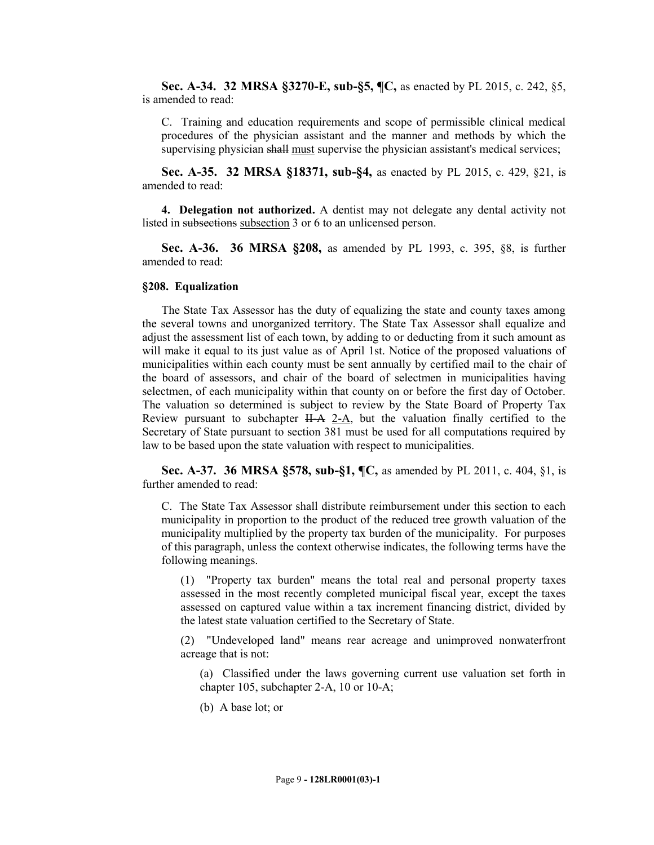**Sec. A-34. 32 MRSA §3270-E, sub-§5, ¶C,** as enacted by PL 2015, c. 242, §5, is amended to read:

C. Training and education requirements and scope of permissible clinical medical procedures of the physician assistant and the manner and methods by which the supervising physician shall must supervise the physician assistant's medical services;

**Sec. A-35. 32 MRSA §18371, sub-§4,** as enacted by PL 2015, c. 429, §21, is amended to read:

**4. Delegation not authorized.** A dentist may not delegate any dental activity not listed in subsections subsection 3 or 6 to an unlicensed person.

**Sec. A-36. 36 MRSA §208,** as amended by PL 1993, c. 395, §8, is further amended to read:

#### **§208. Equalization**

The State Tax Assessor has the duty of equalizing the state and county taxes among the several towns and unorganized territory. The State Tax Assessor shall equalize and adjust the assessment list of each town, by adding to or deducting from it such amount as will make it equal to its just value as of April 1st. Notice of the proposed valuations of municipalities within each county must be sent annually by certified mail to the chair of the board of assessors, and chair of the board of selectmen in municipalities having selectmen, of each municipality within that county on or before the first day of October. The valuation so determined is subject to review by the State Board of Property Tax Review pursuant to subchapter  $H - A$  2-A, but the valuation finally certified to the Secretary of State pursuant to section 381 must be used for all computations required by law to be based upon the state valuation with respect to municipalities.

**Sec. A-37. 36 MRSA §578, sub-§1, ¶C,** as amended by PL 2011, c. 404, §1, is further amended to read:

C. The State Tax Assessor shall distribute reimbursement under this section to each municipality in proportion to the product of the reduced tree growth valuation of the municipality multiplied by the property tax burden of the municipality. For purposes of this paragraph, unless the context otherwise indicates, the following terms have the following meanings.

(1) "Property tax burden" means the total real and personal property taxes assessed in the most recently completed municipal fiscal year, except the taxes assessed on captured value within a tax increment financing district, divided by the latest state valuation certified to the Secretary of State.

(2) "Undeveloped land" means rear acreage and unimproved nonwaterfront acreage that is not:

(a) Classified under the laws governing current use valuation set forth in chapter 105, subchapter 2-A, 10 or 10-A;

(b) A base lot; or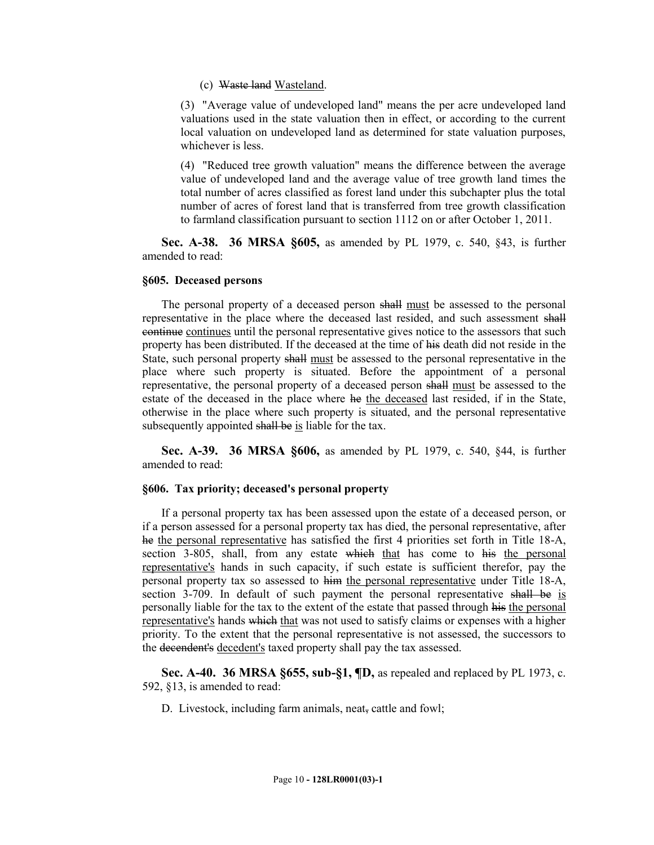#### (c) Waste land Wasteland.

(3) "Average value of undeveloped land" means the per acre undeveloped land valuations used in the state valuation then in effect, or according to the current local valuation on undeveloped land as determined for state valuation purposes, whichever is less.

(4) "Reduced tree growth valuation" means the difference between the average value of undeveloped land and the average value of tree growth land times the total number of acres classified as forest land under this subchapter plus the total number of acres of forest land that is transferred from tree growth classification to farmland classification pursuant to section 1112 on or after October 1, 2011.

**Sec. A-38. 36 MRSA §605,** as amended by PL 1979, c. 540, §43, is further amended to read:

#### **§605. Deceased persons**

The personal property of a deceased person shall must be assessed to the personal representative in the place where the deceased last resided, and such assessment shall continue continues until the personal representative gives notice to the assessors that such property has been distributed. If the deceased at the time of his death did not reside in the State, such personal property shall must be assessed to the personal representative in the place where such property is situated. Before the appointment of a personal representative, the personal property of a deceased person shall must be assessed to the estate of the deceased in the place where he the deceased last resided, if in the State, otherwise in the place where such property is situated, and the personal representative subsequently appointed shall be is liable for the tax.

**Sec. A-39. 36 MRSA §606,** as amended by PL 1979, c. 540, §44, is further amended to read:

### **§606. Tax priority; deceased's personal property**

If a personal property tax has been assessed upon the estate of a deceased person, or if a person assessed for a personal property tax has died, the personal representative, after he the personal representative has satisfied the first 4 priorities set forth in Title 18-A, section 3-805, shall, from any estate which that has come to his the personal representative's hands in such capacity, if such estate is sufficient therefor, pay the personal property tax so assessed to him the personal representative under Title 18-A, section 3-709. In default of such payment the personal representative shall be is personally liable for the tax to the extent of the estate that passed through his the personal representative's hands which that was not used to satisfy claims or expenses with a higher priority. To the extent that the personal representative is not assessed, the successors to the decendent's decedent's taxed property shall pay the tax assessed.

**Sec. A-40. 36 MRSA §655, sub-§1, ¶D,** as repealed and replaced by PL 1973, c. 592, §13, is amended to read:

D. Livestock, including farm animals, neat, cattle and fowl;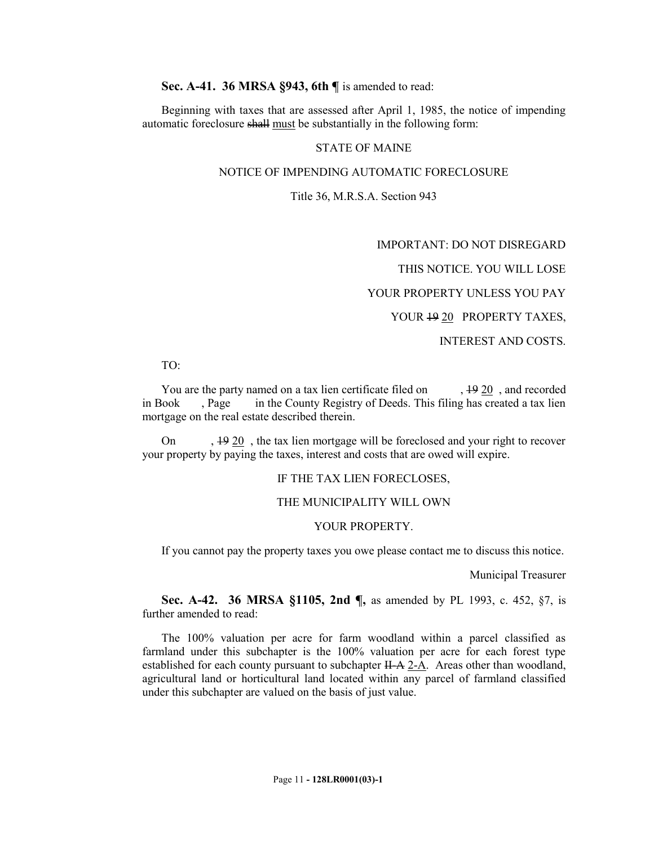**Sec. A-41. 36 MRSA §943, 6th ¶** is amended to read:

Beginning with taxes that are assessed after April 1, 1985, the notice of impending automatic foreclosure shall must be substantially in the following form:

### STATE OF MAINE

#### NOTICE OF IMPENDING AUTOMATIC FORECLOSURE

#### Title 36, M.R.S.A. Section 943

IMPORTANT: DO NOT DISREGARD

THIS NOTICE. YOU WILL LOSE

YOUR PROPERTY UNLESS YOU PAY

YOUR  $19 20$  PROPERTY TAXES,

### INTEREST AND COSTS.

#### TO:

You are the party named on a tax lien certificate filed on  $, 1920$ , and recorded in Book , Page in the County Registry of Deeds. This filing has created a tax lien mortgage on the real estate described therein.

On , 19 20 , the tax lien mortgage will be foreclosed and your right to recover your property by paying the taxes, interest and costs that are owed will expire.

#### IF THE TAX LIEN FORECLOSES,

#### THE MUNICIPALITY WILL OWN

#### YOUR PROPERTY.

If you cannot pay the property taxes you owe please contact me to discuss this notice.

Municipal Treasurer

**Sec. A-42. 36 MRSA §1105, 2nd ¶,** as amended by PL 1993, c. 452, §7, is further amended to read:

The 100% valuation per acre for farm woodland within a parcel classified as farmland under this subchapter is the 100% valuation per acre for each forest type established for each county pursuant to subchapter  $H-A \, 2-A$ . Areas other than woodland, agricultural land or horticultural land located within any parcel of farmland classified under this subchapter are valued on the basis of just value.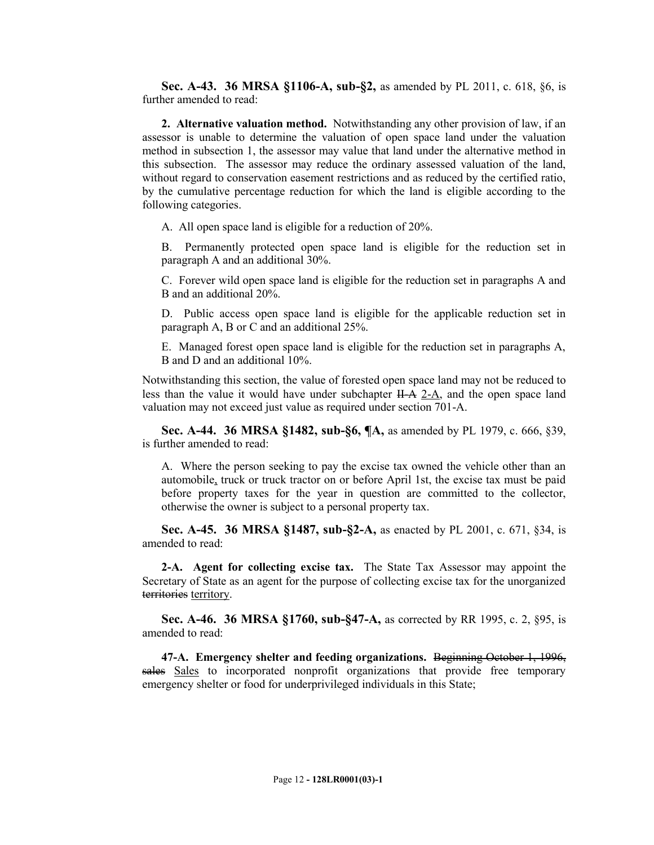**Sec. A-43. 36 MRSA §1106-A, sub-§2,** as amended by PL 2011, c. 618, §6, is further amended to read:

**2. Alternative valuation method.** Notwithstanding any other provision of law, if an assessor is unable to determine the valuation of open space land under the valuation method in subsection 1, the assessor may value that land under the alternative method in this subsection. The assessor may reduce the ordinary assessed valuation of the land, without regard to conservation easement restrictions and as reduced by the certified ratio, by the cumulative percentage reduction for which the land is eligible according to the following categories.

A. All open space land is eligible for a reduction of 20%.

B. Permanently protected open space land is eligible for the reduction set in paragraph A and an additional 30%.

C. Forever wild open space land is eligible for the reduction set in paragraphs A and B and an additional 20%.

D. Public access open space land is eligible for the applicable reduction set in paragraph A, B or C and an additional 25%.

E. Managed forest open space land is eligible for the reduction set in paragraphs A, B and D and an additional 10%.

Notwithstanding this section, the value of forested open space land may not be reduced to less than the value it would have under subchapter  $H - A$  2-A, and the open space land valuation may not exceed just value as required under section 701-A.

**Sec. A-44. 36 MRSA §1482, sub-§6, ¶A,** as amended by PL 1979, c. 666, §39, is further amended to read:

A. Where the person seeking to pay the excise tax owned the vehicle other than an automobile, truck or truck tractor on or before April 1st, the excise tax must be paid before property taxes for the year in question are committed to the collector, otherwise the owner is subject to a personal property tax.

**Sec. A-45. 36 MRSA §1487, sub-§2-A,** as enacted by PL 2001, c. 671, §34, is amended to read:

**2-A. Agent for collecting excise tax.** The State Tax Assessor may appoint the Secretary of State as an agent for the purpose of collecting excise tax for the unorganized territories territory.

**Sec. A-46. 36 MRSA §1760, sub-§47-A,** as corrected by RR 1995, c. 2, §95, is amended to read:

**47-A. Emergency shelter and feeding organizations.** Beginning October 1, 1996, sales Sales to incorporated nonprofit organizations that provide free temporary emergency shelter or food for underprivileged individuals in this State;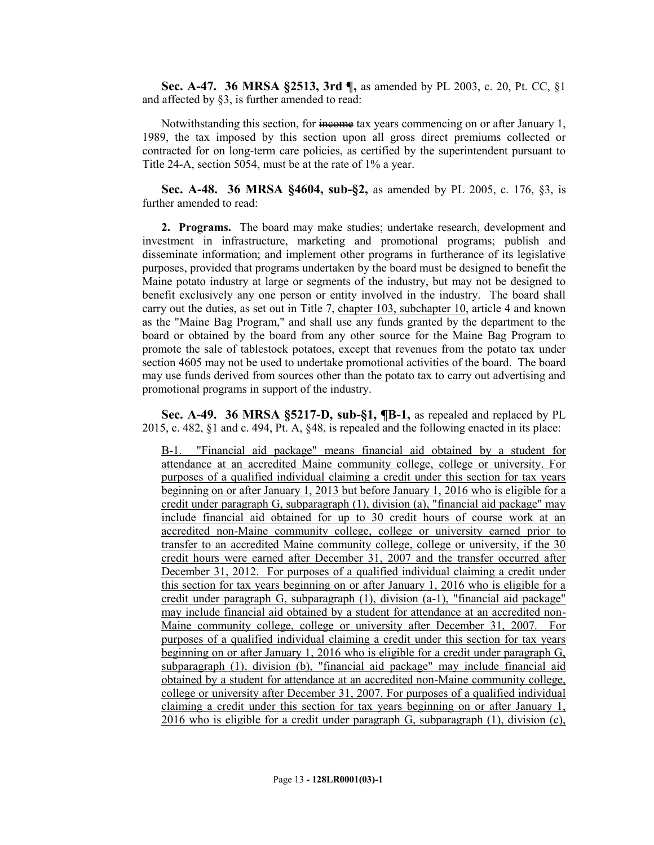**Sec. A-47. 36 MRSA §2513, 3rd ¶,** as amended by PL 2003, c. 20, Pt. CC, §1 and affected by §3, is further amended to read:

Notwithstanding this section, for income tax years commencing on or after January 1, 1989, the tax imposed by this section upon all gross direct premiums collected or contracted for on long-term care policies, as certified by the superintendent pursuant to Title 24-A, section 5054, must be at the rate of 1% a year.

**Sec. A-48. 36 MRSA §4604, sub-§2,** as amended by PL 2005, c. 176, §3, is further amended to read:

**2. Programs.** The board may make studies; undertake research, development and investment in infrastructure, marketing and promotional programs; publish and disseminate information; and implement other programs in furtherance of its legislative purposes, provided that programs undertaken by the board must be designed to benefit the Maine potato industry at large or segments of the industry, but may not be designed to benefit exclusively any one person or entity involved in the industry. The board shall carry out the duties, as set out in Title 7, chapter 103, subchapter 10, article 4 and known as the "Maine Bag Program," and shall use any funds granted by the department to the board or obtained by the board from any other source for the Maine Bag Program to promote the sale of tablestock potatoes, except that revenues from the potato tax under section 4605 may not be used to undertake promotional activities of the board. The board may use funds derived from sources other than the potato tax to carry out advertising and promotional programs in support of the industry.

**Sec. A-49. 36 MRSA §5217-D, sub-§1, ¶B-1,** as repealed and replaced by PL 2015, c. 482, §1 and c. 494, Pt. A, §48, is repealed and the following enacted in its place:

B-1. "Financial aid package" means financial aid obtained by a student for attendance at an accredited Maine community college, college or university. For purposes of a qualified individual claiming a credit under this section for tax years beginning on or after January 1, 2013 but before January 1, 2016 who is eligible for a credit under paragraph G, subparagraph (1), division (a), "financial aid package" may include financial aid obtained for up to 30 credit hours of course work at an accredited non-Maine community college, college or university earned prior to transfer to an accredited Maine community college, college or university, if the 30 credit hours were earned after December 31, 2007 and the transfer occurred after December 31, 2012. For purposes of a qualified individual claiming a credit under this section for tax years beginning on or after January 1, 2016 who is eligible for a credit under paragraph G, subparagraph (1), division (a-1), "financial aid package" may include financial aid obtained by a student for attendance at an accredited non-Maine community college, college or university after December 31, 2007. For purposes of a qualified individual claiming a credit under this section for tax years beginning on or after January 1, 2016 who is eligible for a credit under paragraph G, subparagraph (1), division (b), "financial aid package" may include financial aid obtained by a student for attendance at an accredited non-Maine community college, college or university after December 31, 2007. For purposes of a qualified individual claiming a credit under this section for tax years beginning on or after January 1, 2016 who is eligible for a credit under paragraph G, subparagraph (1), division (c),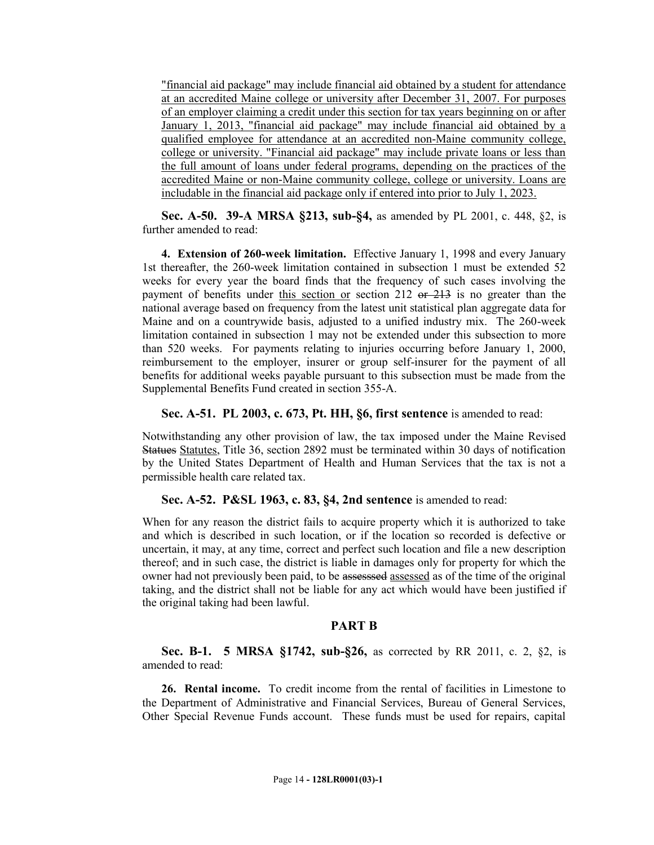"financial aid package" may include financial aid obtained by a student for attendance at an accredited Maine college or university after December 31, 2007. For purposes of an employer claiming a credit under this section for tax years beginning on or after January 1, 2013, "financial aid package" may include financial aid obtained by a qualified employee for attendance at an accredited non-Maine community college, college or university. "Financial aid package" may include private loans or less than the full amount of loans under federal programs, depending on the practices of the accredited Maine or non-Maine community college, college or university. Loans are includable in the financial aid package only if entered into prior to July 1, 2023.

**Sec. A-50. 39-A MRSA §213, sub-§4,** as amended by PL 2001, c. 448, §2, is further amended to read:

**4. Extension of 260-week limitation.** Effective January 1, 1998 and every January 1st thereafter, the 260-week limitation contained in subsection 1 must be extended 52 weeks for every year the board finds that the frequency of such cases involving the payment of benefits under this section or section 212  $er 213$  is no greater than the national average based on frequency from the latest unit statistical plan aggregate data for Maine and on a countrywide basis, adjusted to a unified industry mix. The 260-week limitation contained in subsection 1 may not be extended under this subsection to more than 520 weeks. For payments relating to injuries occurring before January 1, 2000, reimbursement to the employer, insurer or group self-insurer for the payment of all benefits for additional weeks payable pursuant to this subsection must be made from the Supplemental Benefits Fund created in section 355-A.

**Sec. A-51. PL 2003, c. 673, Pt. HH, §6, first sentence** is amended to read:

Notwithstanding any other provision of law, the tax imposed under the Maine Revised Statues Statutes, Title 36, section 2892 must be terminated within 30 days of notification by the United States Department of Health and Human Services that the tax is not a permissible health care related tax.

**Sec. A-52. P&SL 1963, c. 83, §4, 2nd sentence** is amended to read:

When for any reason the district fails to acquire property which it is authorized to take and which is described in such location, or if the location so recorded is defective or uncertain, it may, at any time, correct and perfect such location and file a new description thereof; and in such case, the district is liable in damages only for property for which the owner had not previously been paid, to be assesssed assessed as of the time of the original taking, and the district shall not be liable for any act which would have been justified if the original taking had been lawful.

## **PART B**

**Sec. B-1. 5 MRSA §1742, sub-§26,** as corrected by RR 2011, c. 2, §2, is amended to read:

**26. Rental income.** To credit income from the rental of facilities in Limestone to the Department of Administrative and Financial Services, Bureau of General Services, Other Special Revenue Funds account. These funds must be used for repairs, capital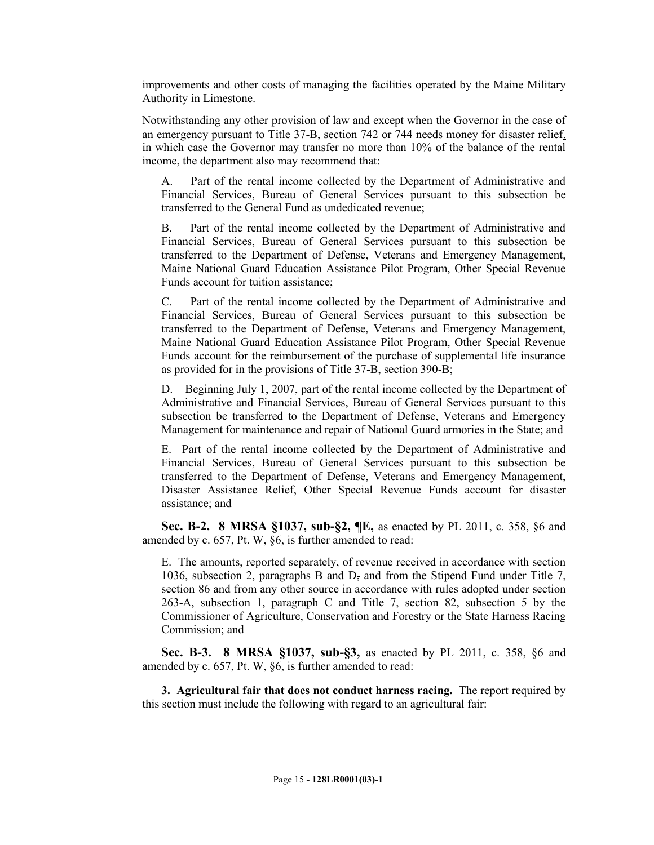improvements and other costs of managing the facilities operated by the Maine Military Authority in Limestone.

Notwithstanding any other provision of law and except when the Governor in the case of an emergency pursuant to Title 37-B, section 742 or 744 needs money for disaster relief, in which case the Governor may transfer no more than 10% of the balance of the rental income, the department also may recommend that:

A. Part of the rental income collected by the Department of Administrative and Financial Services, Bureau of General Services pursuant to this subsection be transferred to the General Fund as undedicated revenue;

B. Part of the rental income collected by the Department of Administrative and Financial Services, Bureau of General Services pursuant to this subsection be transferred to the Department of Defense, Veterans and Emergency Management, Maine National Guard Education Assistance Pilot Program, Other Special Revenue Funds account for tuition assistance;

C. Part of the rental income collected by the Department of Administrative and Financial Services, Bureau of General Services pursuant to this subsection be transferred to the Department of Defense, Veterans and Emergency Management, Maine National Guard Education Assistance Pilot Program, Other Special Revenue Funds account for the reimbursement of the purchase of supplemental life insurance as provided for in the provisions of Title 37-B, section 390-B;

D. Beginning July 1, 2007, part of the rental income collected by the Department of Administrative and Financial Services, Bureau of General Services pursuant to this subsection be transferred to the Department of Defense, Veterans and Emergency Management for maintenance and repair of National Guard armories in the State; and

E. Part of the rental income collected by the Department of Administrative and Financial Services, Bureau of General Services pursuant to this subsection be transferred to the Department of Defense, Veterans and Emergency Management, Disaster Assistance Relief, Other Special Revenue Funds account for disaster assistance; and

**Sec. B-2. 8 MRSA §1037, sub-§2, ¶E,** as enacted by PL 2011, c. 358, §6 and amended by c. 657, Pt. W, §6, is further amended to read:

E. The amounts, reported separately, of revenue received in accordance with section 1036, subsection 2, paragraphs B and D, and from the Stipend Fund under Title 7, section 86 and from any other source in accordance with rules adopted under section 263-A, subsection 1, paragraph C and Title 7, section 82, subsection 5 by the Commissioner of Agriculture, Conservation and Forestry or the State Harness Racing Commission; and

**Sec. B-3. 8 MRSA §1037, sub-§3,** as enacted by PL 2011, c. 358, §6 and amended by c. 657, Pt. W, §6, is further amended to read:

**3. Agricultural fair that does not conduct harness racing.** The report required by this section must include the following with regard to an agricultural fair: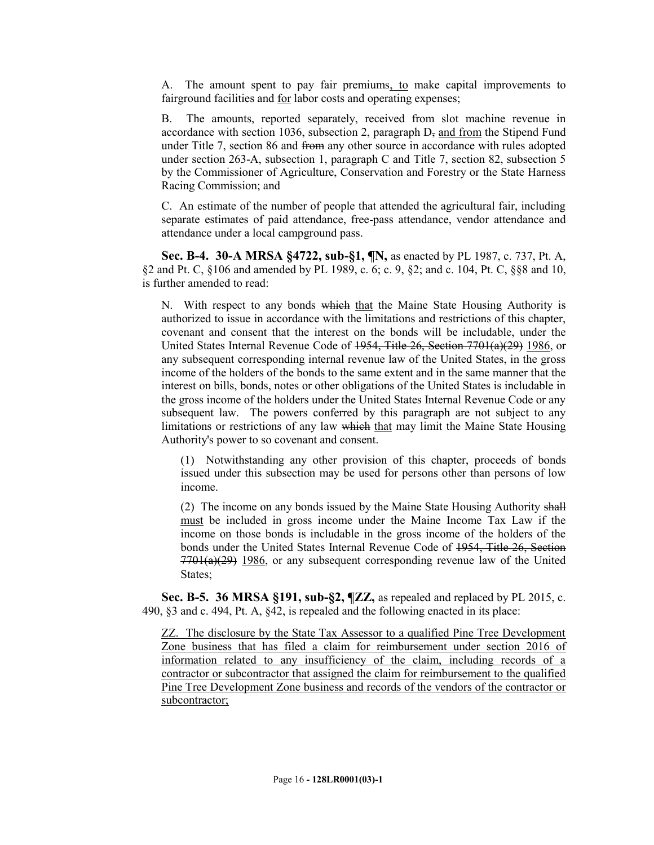A. The amount spent to pay fair premiums, to make capital improvements to fairground facilities and for labor costs and operating expenses;

B. The amounts, reported separately, received from slot machine revenue in accordance with section 1036, subsection 2, paragraph  $D<sub>z</sub>$  and from the Stipend Fund under Title 7, section 86 and from any other source in accordance with rules adopted under section 263-A, subsection 1, paragraph C and Title 7, section 82, subsection 5 by the Commissioner of Agriculture, Conservation and Forestry or the State Harness Racing Commission; and

C. An estimate of the number of people that attended the agricultural fair, including separate estimates of paid attendance, free-pass attendance, vendor attendance and attendance under a local campground pass.

**Sec. B-4. 30-A MRSA §4722, sub-§1, ¶N,** as enacted by PL 1987, c. 737, Pt. A, §2 and Pt. C, §106 and amended by PL 1989, c. 6; c. 9, §2; and c. 104, Pt. C, §§8 and 10, is further amended to read:

N. With respect to any bonds which that the Maine State Housing Authority is authorized to issue in accordance with the limitations and restrictions of this chapter, covenant and consent that the interest on the bonds will be includable, under the United States Internal Revenue Code of 1954, Title 26, Section 7701(a)(29) 1986, or any subsequent corresponding internal revenue law of the United States, in the gross income of the holders of the bonds to the same extent and in the same manner that the interest on bills, bonds, notes or other obligations of the United States is includable in the gross income of the holders under the United States Internal Revenue Code or any subsequent law. The powers conferred by this paragraph are not subject to any limitations or restrictions of any law which that may limit the Maine State Housing Authority's power to so covenant and consent.

(1) Notwithstanding any other provision of this chapter, proceeds of bonds issued under this subsection may be used for persons other than persons of low income.

(2) The income on any bonds issued by the Maine State Housing Authority shall must be included in gross income under the Maine Income Tax Law if the income on those bonds is includable in the gross income of the holders of the bonds under the United States Internal Revenue Code of <del>1954, Title 26, Section</del>  $7701(a)(29)$  1986, or any subsequent corresponding revenue law of the United States;

**Sec. B-5. 36 MRSA §191, sub-§2, ¶ZZ,** as repealed and replaced by PL 2015, c. 490, §3 and c. 494, Pt. A, §42, is repealed and the following enacted in its place:

ZZ. The disclosure by the State Tax Assessor to a qualified Pine Tree Development Zone business that has filed a claim for reimbursement under section 2016 of information related to any insufficiency of the claim, including records of a contractor or subcontractor that assigned the claim for reimbursement to the qualified Pine Tree Development Zone business and records of the vendors of the contractor or subcontractor;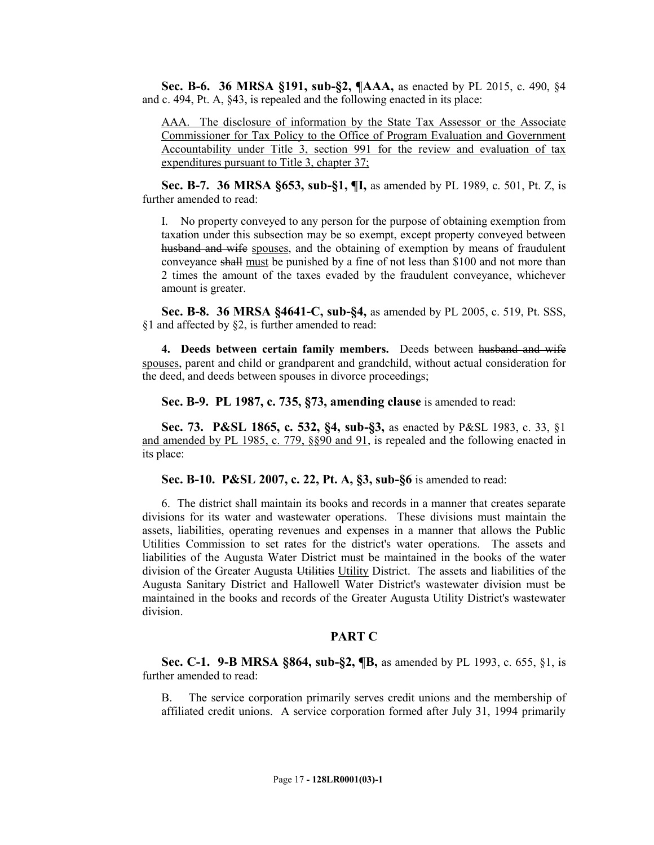**Sec. B-6. 36 MRSA §191, sub-§2, ¶AAA,** as enacted by PL 2015, c. 490, §4 and c. 494, Pt. A, §43, is repealed and the following enacted in its place:

AAA. The disclosure of information by the State Tax Assessor or the Associate Commissioner for Tax Policy to the Office of Program Evaluation and Government Accountability under Title 3, section 991 for the review and evaluation of tax expenditures pursuant to Title 3, chapter 37;

**Sec. B-7. 36 MRSA §653, sub-§1, ¶I,** as amended by PL 1989, c. 501, Pt. Z, is further amended to read:

I. No property conveyed to any person for the purpose of obtaining exemption from taxation under this subsection may be so exempt, except property conveyed between husband and wife spouses, and the obtaining of exemption by means of fraudulent conveyance shall must be punished by a fine of not less than \$100 and not more than 2 times the amount of the taxes evaded by the fraudulent conveyance, whichever amount is greater.

**Sec. B-8. 36 MRSA §4641-C, sub-§4,** as amended by PL 2005, c. 519, Pt. SSS, §1 and affected by §2, is further amended to read:

**4. Deeds between certain family members.** Deeds between husband and wife spouses, parent and child or grandparent and grandchild, without actual consideration for the deed, and deeds between spouses in divorce proceedings;

**Sec. B-9. PL 1987, c. 735, §73, amending clause** is amended to read:

**Sec. 73. P&SL 1865, c. 532, §4, sub-§3,** as enacted by P&SL 1983, c. 33, §1 and amended by PL 1985, c. 779, §§90 and 91, is repealed and the following enacted in its place:

**Sec. B-10. P&SL 2007, c. 22, Pt. A, §3, sub-§6** is amended to read:

6. The district shall maintain its books and records in a manner that creates separate divisions for its water and wastewater operations. These divisions must maintain the assets, liabilities, operating revenues and expenses in a manner that allows the Public Utilities Commission to set rates for the district's water operations. The assets and liabilities of the Augusta Water District must be maintained in the books of the water division of the Greater Augusta Utilities Utility District. The assets and liabilities of the Augusta Sanitary District and Hallowell Water District's wastewater division must be maintained in the books and records of the Greater Augusta Utility District's wastewater division.

## **PART C**

**Sec. C-1. 9-B MRSA §864, sub-§2, ¶B,** as amended by PL 1993, c. 655, §1, is further amended to read:

B. The service corporation primarily serves credit unions and the membership of affiliated credit unions. A service corporation formed after July 31, 1994 primarily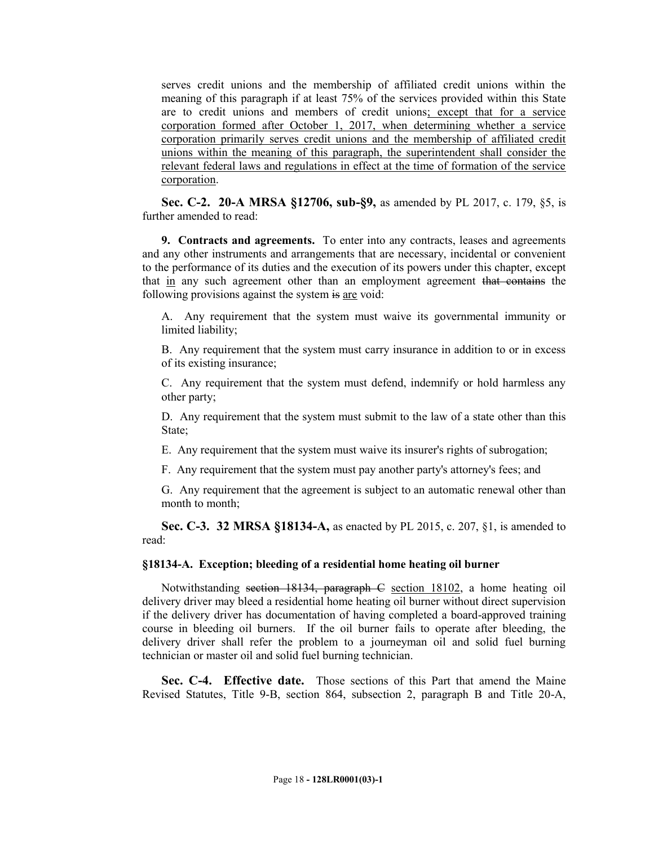serves credit unions and the membership of affiliated credit unions within the meaning of this paragraph if at least 75% of the services provided within this State are to credit unions and members of credit unions; except that for a service corporation formed after October 1, 2017, when determining whether a service corporation primarily serves credit unions and the membership of affiliated credit unions within the meaning of this paragraph, the superintendent shall consider the relevant federal laws and regulations in effect at the time of formation of the service corporation.

**Sec. C-2. 20-A MRSA §12706, sub-§9,** as amended by PL 2017, c. 179, §5, is further amended to read:

**9. Contracts and agreements.** To enter into any contracts, leases and agreements and any other instruments and arrangements that are necessary, incidental or convenient to the performance of its duties and the execution of its powers under this chapter, except that in any such agreement other than an employment agreement that contains the following provisions against the system is are void:

A. Any requirement that the system must waive its governmental immunity or limited liability;

B. Any requirement that the system must carry insurance in addition to or in excess of its existing insurance;

C. Any requirement that the system must defend, indemnify or hold harmless any other party;

D. Any requirement that the system must submit to the law of a state other than this State;

E. Any requirement that the system must waive its insurer's rights of subrogation;

F. Any requirement that the system must pay another party's attorney's fees; and

G. Any requirement that the agreement is subject to an automatic renewal other than month to month;

**Sec. C-3. 32 MRSA §18134-A,** as enacted by PL 2015, c. 207, §1, is amended to read:

### **§18134-A. Exception; bleeding of a residential home heating oil burner**

Notwithstanding section 18134, paragraph C section 18102, a home heating oil delivery driver may bleed a residential home heating oil burner without direct supervision if the delivery driver has documentation of having completed a board-approved training course in bleeding oil burners. If the oil burner fails to operate after bleeding, the delivery driver shall refer the problem to a journeyman oil and solid fuel burning technician or master oil and solid fuel burning technician.

**Sec. C-4. Effective date.** Those sections of this Part that amend the Maine Revised Statutes, Title 9-B, section 864, subsection 2, paragraph B and Title 20-A,